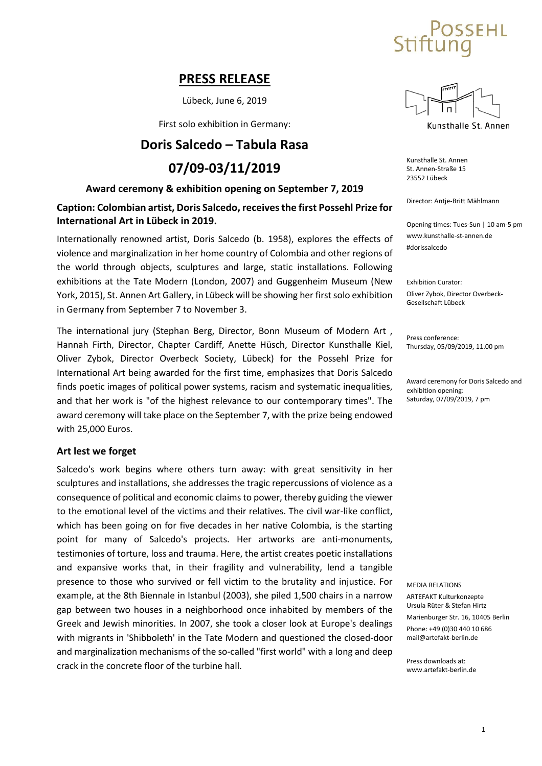# **SSEHL**

## **PRESS RELEASE**

Lübeck, June 6, 2019

First solo exhibition in Germany:

## **Doris Salcedo – Tabula Rasa**

## **07/09-03/11/2019**

## **Award ceremony & exhibition opening on September 7, 2019**

## **Caption: Colombian artist, Doris Salcedo, receivesthe first Possehl Prize for International Art in Lübeck in 2019.**

Internationally renowned artist, Doris Salcedo (b. 1958), explores the effects of violence and marginalization in her home country of Colombia and other regions of the world through objects, sculptures and large, static installations. Following exhibitions at the Tate Modern (London, 2007) and Guggenheim Museum (New York, 2015), St. Annen Art Gallery, in Lübeck will be showing her firstsolo exhibition in Germany from September 7 to November 3.

The international jury (Stephan Berg, Director, Bonn Museum of Modern Art , Hannah Firth, Director, Chapter Cardiff, Anette Hüsch, Director Kunsthalle Kiel, Oliver Zybok, Director Overbeck Society, Lübeck) for the Possehl Prize for International Art being awarded for the first time, emphasizes that Doris Salcedo finds poetic images of political power systems, racism and systematic inequalities, and that her work is "of the highest relevance to our contemporary times". The award ceremony will take place on the September 7, with the prize being endowed with 25,000 Euros.

### **Art lest we forget**

Salcedo's work begins where others turn away: with great sensitivity in her sculptures and installations, she addresses the tragic repercussions of violence as a consequence of political and economic claimsto power, thereby guiding the viewer to the emotional level of the victims and their relatives. The civil war-like conflict, which has been going on for five decades in her native Colombia, is the starting point for many of Salcedo's projects. Her artworks are anti-monuments, testimonies of torture, loss and trauma. Here, the artist creates poetic installations and expansive works that, in their fragility and vulnerability, lend a tangible presence to those who survived or fell victim to the brutality and injustice. For example, at the 8th Biennale in Istanbul (2003), she piled 1,500 chairs in a narrow gap between two houses in a neighborhood once inhabited by members of the Greek and Jewish minorities. In 2007, she took a closer look at Europe's dealings with migrants in 'Shibboleth' in the Tate Modern and questioned the closed-door and marginalization mechanisms of the so-called "first world" with a long and deep crack in the concrete floor of the turbine hall.



Kunsthalle St. Annen

Kunsthalle St. Annen St. Annen-Straße 15 23552 Lübeck

Director: Antje-Britt Mählmann

Opening times: Tues-Sun | 10 am-5 pm [www.kunsthalle-st-annen.de](http://www.kunsthalle-st-annen.de/) #dorissalcedo

Exhibition Curator: Oliver Zybok, Director Overbeck-Gesellschaft Lübeck

Press conference: Thursday, 05/09/2019, 11.00 pm

Award ceremony for Doris Salcedo and exhibition opening: Saturday, 07/09/2019, 7 pm

#### MEDIA RELATIONS

ARTEFAKT Kulturkonzepte Ursula Rüter & Stefan Hirtz

Marienburger Str. 16, 10405 Berlin Phone: +49 (0)30 440 10 686 [mail@artefakt-berlin.de](mailto:mail@artefakt-berlin.de)

Press downloads at: [www.artefakt-berlin.de](http://www.artefakt-berlin.de/)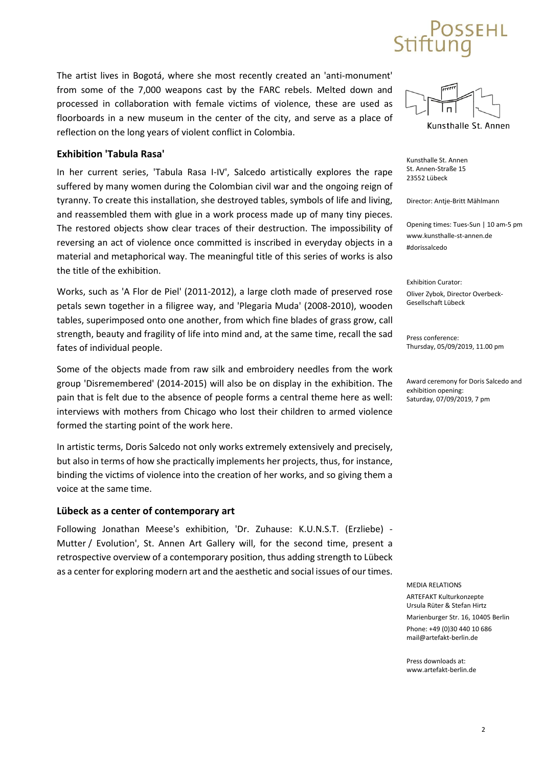# SEHL

The artist lives in Bogotá, where she most recently created an 'anti-monument' from some of the 7,000 weapons cast by the FARC rebels. Melted down and processed in collaboration with female victims of violence, these are used as floorboards in a new museum in the center of the city, and serve as a place of reflection on the long years of violent conflict in Colombia.

## **Exhibition 'Tabula Rasa'**

In her current series, 'Tabula Rasa I-IV', Salcedo artistically explores the rape suffered by many women during the Colombian civil war and the ongoing reign of tyranny. To create this installation, she destroyed tables, symbols of life and living, and reassembled them with glue in a work process made up of many tiny pieces. The restored objects show clear traces of their destruction. The impossibility of reversing an act of violence once committed is inscribed in everyday objects in a material and metaphorical way. The meaningful title of this series of works is also the title of the exhibition.

Works, such as 'A Flor de Piel' (2011-2012), a large cloth made of preserved rose petals sewn together in a filigree way, and 'Plegaria Muda' (2008-2010), wooden tables, superimposed onto one another, from which fine blades of grass grow, call strength, beauty and fragility of life into mind and, at the same time, recall the sad fates of individual people.

Some of the objects made from raw silk and embroidery needles from the work group 'Disremembered' (2014-2015) will also be on display in the exhibition. The pain that is felt due to the absence of people forms a central theme here as well: interviews with mothers from Chicago who lost their children to armed violence formed the starting point of the work here.

In artistic terms, Doris Salcedo not only works extremely extensively and precisely, but also in terms of how she practically implements her projects, thus, for instance, binding the victims of violence into the creation of her works, and so giving them a voice at the same time.

### **Lübeck as a center of contemporary art**

Following Jonathan Meese's exhibition, 'Dr. Zuhause: K.U.N.S.T. (Erzliebe) - Mutter / Evolution', St. Annen Art Gallery will, for the second time, present a retrospective overview of a contemporary position, thus adding strength to Lübeck as a center for exploring modern art and the aesthetic and social issues of our times.



Kunsthalle St. Annen

Kunsthalle St. Annen St. Annen-Straße 15 23552 Lübeck

Director: Antje-Britt Mählmann

Opening times: Tues-Sun | 10 am-5 pm [www.kunsthalle-st-annen.de](http://www.kunsthalle-st-annen.de/) #dorissalcedo

Exhibition Curator: Oliver Zybok, Director Overbeck-Gesellschaft Lübeck

Press conference: Thursday, 05/09/2019, 11.00 pm

Award ceremony for Doris Salcedo and exhibition opening: Saturday, 07/09/2019, 7 pm

MEDIA RELATIONS

ARTEFAKT Kulturkonzepte Ursula Rüter & Stefan Hirtz

Marienburger Str. 16, 10405 Berlin Phone: +49 (0)30 440 10 686 [mail@artefakt-berlin.de](mailto:mail@artefakt-berlin.de)

Press downloads at: [www.artefakt-berlin.de](http://www.artefakt-berlin.de/)